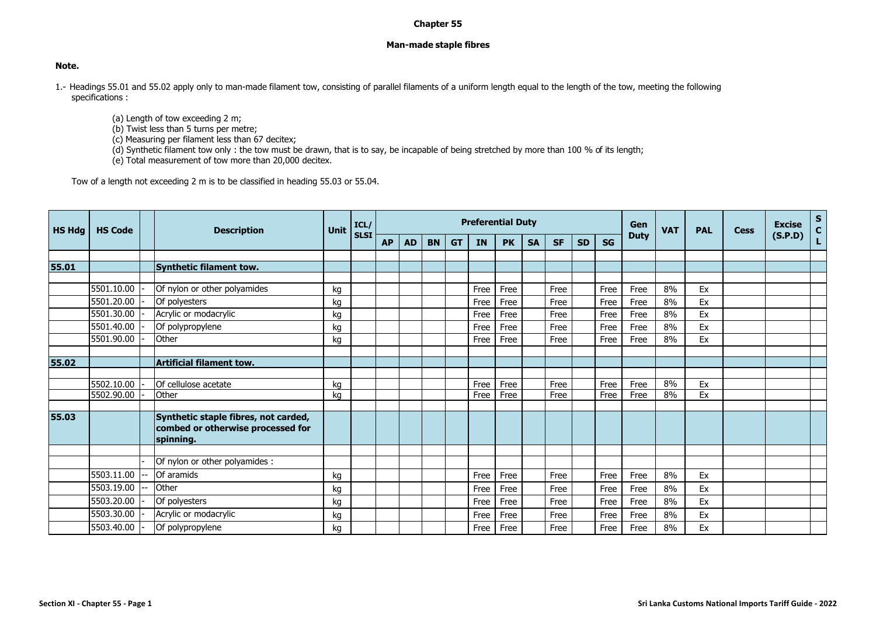## **Chapter 55**

## **Man-made staple fibres**

## **Note.**

- 1.- Headings 55.01 and 55.02 apply only to man-made filament tow, consisting of parallel filaments of a uniform length equal to the length of the tow, meeting the following specifications :
	- (a) Length of tow exceeding 2 m;
	- (b) Twist less than 5 turns per metre;
	- (c) Measuring per filament less than 67 decitex;
	- (d) Synthetic filament tow only : the tow must be drawn, that is to say, be incapable of being stretched by more than 100 % of its length;
	- (e) Total measurement of tow more than 20,000 decitex.

Tow of a length not exceeding 2 m is to be classified in heading 55.03 or 55.04.

| <b>HS Hdg</b> | <b>HS Code</b> | <b>Description</b>                             | Unit | ICL/        | <b>Preferential Duty</b> |           |           |           |           |           |           |           |           |           | Gen         | <b>VAT</b> | <b>PAL</b> | <b>Cess</b> | <b>Excise</b> | $S_{C}$ |
|---------------|----------------|------------------------------------------------|------|-------------|--------------------------|-----------|-----------|-----------|-----------|-----------|-----------|-----------|-----------|-----------|-------------|------------|------------|-------------|---------------|---------|
|               |                |                                                |      | <b>SLSI</b> | <b>AP</b>                | <b>AD</b> | <b>BN</b> | <b>GT</b> | <b>IN</b> | <b>PK</b> | <b>SA</b> | <b>SF</b> | <b>SD</b> | <b>SG</b> | <b>Duty</b> |            |            |             | (S.P.D)       |         |
|               |                |                                                |      |             |                          |           |           |           |           |           |           |           |           |           |             |            |            |             |               |         |
| 55.01         |                | Synthetic filament tow.                        |      |             |                          |           |           |           |           |           |           |           |           |           |             |            |            |             |               |         |
|               |                |                                                |      |             |                          |           |           |           |           |           |           |           |           |           |             |            |            |             |               |         |
|               | 5501.10.00     | Of nylon or other polyamides                   | kg   |             |                          |           |           |           | Free      | Free      |           | Free      |           | Free      | Free        | 8%         | Ex         |             |               |         |
|               | 5501.20.00     | Of polyesters                                  | kg   |             |                          |           |           |           | Free      | Free      |           | Free      |           | Free      | Free        | 8%         | Ex         |             |               |         |
|               | 5501.30.00     | Acrylic or modacrylic                          | kg   |             |                          |           |           |           | Free      | Free      |           | Free      |           | Free      | Free        | 8%         | Ex         |             |               |         |
|               | 5501.40.00     | Of polypropylene                               | kg   |             |                          |           |           |           | Free      | Free      |           | Free      |           | Free      | Free        | 8%         | Ex         |             |               |         |
|               | 5501.90.00     | Other                                          | kg   |             |                          |           |           |           | Free      | Free      |           | Free      |           | Free      | Free        | 8%         | Ex         |             |               |         |
|               |                |                                                |      |             |                          |           |           |           |           |           |           |           |           |           |             |            |            |             |               |         |
| 55.02         |                | Artificial filament tow.                       |      |             |                          |           |           |           |           |           |           |           |           |           |             |            |            |             |               |         |
|               |                |                                                |      |             |                          |           |           |           |           |           |           |           |           |           |             |            |            |             |               |         |
|               | 5502.10.00     | Of cellulose acetate                           | kg   |             |                          |           |           |           | Free      | Free      |           | Free      |           | Free      | Free        | 8%         | Ex         |             |               |         |
|               | 5502.90.00     | Other                                          | ka   |             |                          |           |           |           | Free      | Free      |           | Free      |           | Free      | Free        | 8%         | Ex         |             |               |         |
|               |                |                                                |      |             |                          |           |           |           |           |           |           |           |           |           |             |            |            |             |               |         |
| 55.03         |                | Synthetic staple fibres, not carded,           |      |             |                          |           |           |           |           |           |           |           |           |           |             |            |            |             |               |         |
|               |                | combed or otherwise processed for<br>spinning. |      |             |                          |           |           |           |           |           |           |           |           |           |             |            |            |             |               |         |
|               |                |                                                |      |             |                          |           |           |           |           |           |           |           |           |           |             |            |            |             |               |         |
|               |                | Of nylon or other polyamides :                 |      |             |                          |           |           |           |           |           |           |           |           |           |             |            |            |             |               |         |
|               | 5503.11.00     | Of aramids                                     | kg   |             |                          |           |           |           | Free      | Free      |           | Free      |           | Free      | Free        | 8%         | Ex         |             |               |         |
|               | 5503.19.00     | Other                                          | kg   |             |                          |           |           |           | Free      | Free      |           | Free      |           | Free      | Free        | 8%         | Ex         |             |               |         |
|               | 5503.20.00     | Of polyesters                                  | kg   |             |                          |           |           |           | Free      | Free      |           | Free      |           | Free      | Free        | 8%         | Ex         |             |               |         |
|               | 5503.30.00     | Acrylic or modacrylic                          | kg   |             |                          |           |           |           | Free      | Free      |           | Free      |           | Free      | Free        | 8%         | Ex         |             |               |         |
|               | 5503.40.00     | Of polypropylene                               | kg   |             |                          |           |           |           | Free      | Free      |           | Free      |           | Free      | Free        | 8%         | Ex         |             |               |         |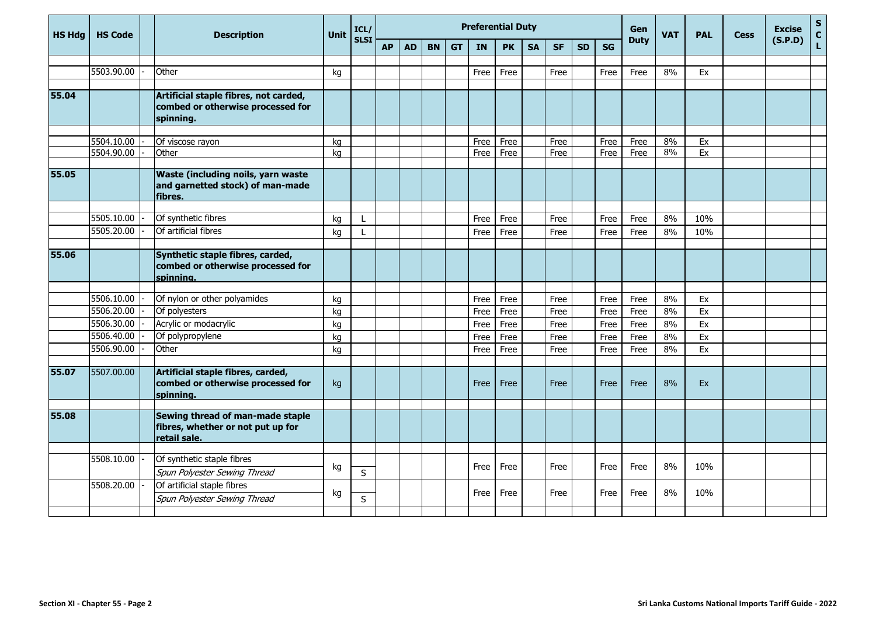| <b>HS Hdg</b> | <b>HS Code</b>           | <b>Description</b>                                                                       | <b>Unit</b> | ICL/         |           |           |           |           | <b>Preferential Duty</b> |           |           |              | Gen       | <b>VAT</b> | <b>PAL</b>  | <b>Cess</b> | <b>Excise</b> | $\mathsf S$<br>$\mathbf{C}$ |         |    |
|---------------|--------------------------|------------------------------------------------------------------------------------------|-------------|--------------|-----------|-----------|-----------|-----------|--------------------------|-----------|-----------|--------------|-----------|------------|-------------|-------------|---------------|-----------------------------|---------|----|
|               |                          |                                                                                          |             | <b>SLSI</b>  | <b>AP</b> | <b>AD</b> | <b>BN</b> | <b>GT</b> | <b>IN</b>                | <b>PK</b> | <b>SA</b> | <b>SF</b>    | <b>SD</b> | <b>SG</b>  | <b>Duty</b> |             |               |                             | (S.P.D) | L. |
|               | 5503.90.00               | Other                                                                                    |             |              |           |           |           |           |                          |           |           |              |           |            |             |             |               |                             |         |    |
|               |                          |                                                                                          | kg          |              |           |           |           |           | Free                     | Free      |           | Free         |           | Free       | Free        | 8%          | Ex            |                             |         |    |
| 55.04         |                          | Artificial staple fibres, not carded,<br>combed or otherwise processed for<br>spinning.  |             |              |           |           |           |           |                          |           |           |              |           |            |             |             |               |                             |         |    |
|               |                          |                                                                                          |             |              |           |           |           |           |                          |           |           |              |           |            |             |             |               |                             |         |    |
|               | 5504.10.00<br>5504.90.00 | Of viscose rayon<br>Other                                                                | ka          |              |           |           |           |           | Free                     | Free      |           | Free<br>Free |           | Free       | Free        | 8%<br>8%    | Ex<br>Ex      |                             |         |    |
|               |                          |                                                                                          | kg          |              |           |           |           |           | Free                     | Free      |           |              |           | Free       | Free        |             |               |                             |         |    |
| 55.05         |                          | <b>Waste (including noils, yarn waste</b><br>and garnetted stock) of man-made<br>fibres. |             |              |           |           |           |           |                          |           |           |              |           |            |             |             |               |                             |         |    |
|               | 5505.10.00               | Of synthetic fibres                                                                      | kg          | L            |           |           |           |           | Free                     | Free      |           | Free         |           | Free       | Free        | 8%          | 10%           |                             |         |    |
|               | 5505.20.00               | Of artificial fibres                                                                     | kg          | L            |           |           |           |           | Free                     | Free      |           | Free         |           | Free       | Free        | 8%          | 10%           |                             |         |    |
|               |                          |                                                                                          |             |              |           |           |           |           |                          |           |           |              |           |            |             |             |               |                             |         |    |
| 55.06         |                          | Synthetic staple fibres, carded,<br>combed or otherwise processed for<br>spinning.       |             |              |           |           |           |           |                          |           |           |              |           |            |             |             |               |                             |         |    |
|               |                          |                                                                                          |             |              |           |           |           |           |                          |           |           |              |           |            |             |             |               |                             |         |    |
|               | 5506.10.00               | Of nylon or other polyamides                                                             | kq          |              |           |           |           |           | Free                     | Free      |           | Free         |           | Free       | Free        | 8%          | Ex            |                             |         |    |
|               | 5506.20.00               | Of polyesters                                                                            | kg          |              |           |           |           |           | Free                     | Free      |           | Free         |           | Free       | Free        | 8%          | Ex            |                             |         |    |
|               | 5506.30.00               | Acrylic or modacrylic                                                                    | kg          |              |           |           |           |           | Free                     | Free      |           | Free         |           | Free       | Free        | 8%          | Ex            |                             |         |    |
|               | 5506.40.00               | Of polypropylene                                                                         | kg          |              |           |           |           |           | Free                     | Free      |           | Free         |           | Free       | Free        | 8%          | Ex            |                             |         |    |
|               | 5506.90.00               | Other                                                                                    | kg          |              |           |           |           |           | Free                     | Free      |           | Free         |           | Free       | Free        | 8%          | Ex            |                             |         |    |
|               |                          |                                                                                          |             |              |           |           |           |           |                          |           |           |              |           |            |             |             |               |                             |         |    |
| 55.07         | 5507.00.00               | Artificial staple fibres, carded,<br>combed or otherwise processed for<br>spinning.      | kg          |              |           |           |           |           | Free                     | Free      |           | Free         |           | Free       | Free        | 8%          | Ex            |                             |         |    |
|               |                          |                                                                                          |             |              |           |           |           |           |                          |           |           |              |           |            |             |             |               |                             |         |    |
| 55.08         |                          | Sewing thread of man-made staple<br>fibres, whether or not put up for<br>retail sale.    |             |              |           |           |           |           |                          |           |           |              |           |            |             |             |               |                             |         |    |
|               |                          |                                                                                          |             |              |           |           |           |           |                          |           |           |              |           |            |             |             |               |                             |         |    |
|               | 5508.10.00               | Of synthetic staple fibres<br>Spun Polyester Sewing Thread                               | kg          | $\mathsf{S}$ |           |           |           |           | Free                     | Free      |           | Free         |           | Free       | Free        | 8%          | 10%           |                             |         |    |
|               | 5508.20.00               | Of artificial staple fibres<br>Spun Polyester Sewing Thread                              | kg          | $\sf S$      |           |           |           |           | Free                     | Free      |           | Free         |           | Free       | Free        | 8%          | 10%           |                             |         |    |
|               |                          |                                                                                          |             |              |           |           |           |           |                          |           |           |              |           |            |             |             |               |                             |         |    |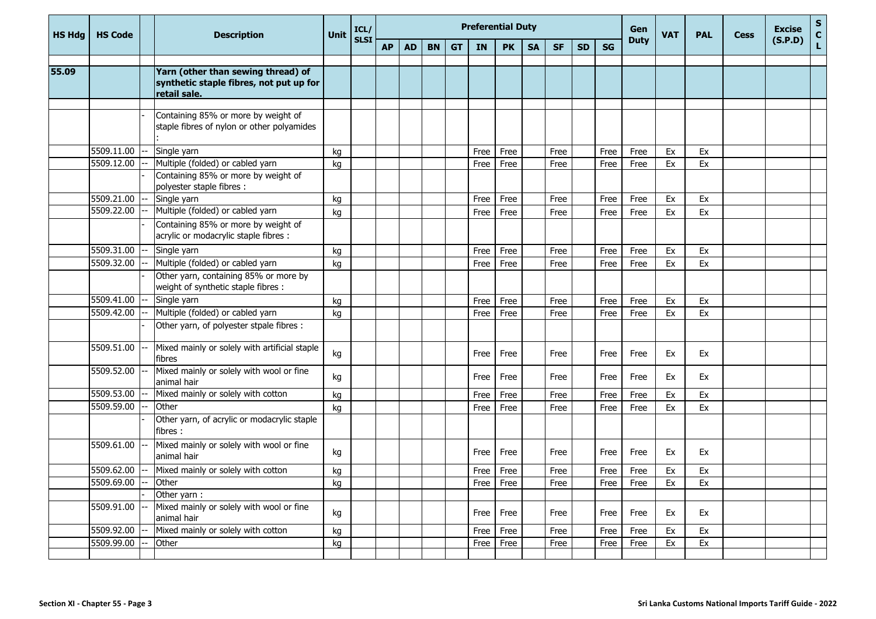| <b>HS Hdg</b> | <b>HS Code</b> | <b>Description</b>                                                                                   | <b>Unit</b> | ICL/        | <b>Preferential Duty</b> |           |           |           |           |           |           |           |           |           |             | <b>VAT</b> | <b>PAL</b>    | <b>Cess</b> | <b>Excise</b> | $\mathbf{s}$  |
|---------------|----------------|------------------------------------------------------------------------------------------------------|-------------|-------------|--------------------------|-----------|-----------|-----------|-----------|-----------|-----------|-----------|-----------|-----------|-------------|------------|---------------|-------------|---------------|---------------|
|               |                |                                                                                                      |             | <b>SLSI</b> | <b>AP</b>                | <b>AD</b> | <b>BN</b> | <b>GT</b> | <b>IN</b> | <b>PK</b> | <b>SA</b> | <b>SF</b> | <b>SD</b> | <b>SG</b> | <b>Duty</b> |            |               |             | (S.P.D)       | $\frac{c}{L}$ |
| 55.09         |                | Yarn (other than sewing thread) of<br>synthetic staple fibres, not put up for<br>retail sale.        |             |             |                          |           |           |           |           |           |           |           |           |           |             |            |               |             |               |               |
|               |                | Containing 85% or more by weight of<br>staple fibres of nylon or other polyamides                    |             |             |                          |           |           |           |           |           |           |           |           |           |             |            |               |             |               |               |
|               | 5509.11.00     | Single yarn                                                                                          | kg          |             |                          |           |           |           | Free      | Free      |           | Free      |           | Free      | Free        | Ex         | Ex            |             |               |               |
|               | 5509.12.00     | Multiple (folded) or cabled yarn<br>Containing 85% or more by weight of<br>polyester staple fibres : | kg          |             |                          |           |           |           | Free      | Free      |           | Free      |           | Free      | Free        | Ex         | Ex            |             |               |               |
|               | 5509.21.00     | Single yarn                                                                                          | kg          |             |                          |           |           |           | Free      | Free      |           | Free      |           | Free      | Free        | Ex         | Ex            |             |               |               |
|               | 5509.22.00     | Multiple (folded) or cabled yarn                                                                     | kg          |             |                          |           |           |           | Free      | Free      |           | Free      |           | Free      | Free        | Ex         | Ex            |             |               |               |
|               |                | Containing 85% or more by weight of<br>acrylic or modacrylic staple fibres :                         |             |             |                          |           |           |           |           |           |           |           |           |           |             |            |               |             |               |               |
|               | 5509.31.00     | Single yarn                                                                                          | kg          |             |                          |           |           |           | Free      | Free      |           | Free      |           | Free      | Free        | Ex         | Ex            |             |               |               |
|               | 5509.32.00     | Multiple (folded) or cabled yarn                                                                     | kg          |             |                          |           |           |           | Free      | Free      |           | Free      |           | Free      | Free        | Ex         | Ex            |             |               |               |
|               |                | Other yarn, containing 85% or more by<br>weight of synthetic staple fibres :                         |             |             |                          |           |           |           |           |           |           |           |           |           |             |            |               |             |               |               |
|               | 5509.41.00     | Single yarn                                                                                          | kg          |             |                          |           |           |           | Free      | Free      |           | Free      |           | Free      | Free        | Ex         | Ex            |             |               |               |
|               | 5509.42.00     | Multiple (folded) or cabled yarn                                                                     | kg          |             |                          |           |           |           | Free      | Free      |           | Free      |           | Free      | Free        | Ex         | Ex            |             |               |               |
|               |                | Other yarn, of polyester stpale fibres :                                                             |             |             |                          |           |           |           |           |           |           |           |           |           |             |            |               |             |               |               |
|               | 5509.51.00     | Mixed mainly or solely with artificial staple<br>fibres                                              | kg          |             |                          |           |           |           | Free      | Free      |           | Free      |           | Free      | Free        | Ex         | Ex            |             |               |               |
|               | 5509.52.00     | Mixed mainly or solely with wool or fine<br>animal hair                                              | kg          |             |                          |           |           |           | Free      | Free      |           | Free      |           | Free      | Free        | Ex         | Ex            |             |               |               |
|               | 5509.53.00     | Mixed mainly or solely with cotton                                                                   | kg          |             |                          |           |           |           | Free      | Free      |           | Free      |           | Free      | Free        | Ex         | Ex            |             |               |               |
|               | 5509.59.00     | Other                                                                                                | kg          |             |                          |           |           |           | Free      | Free      |           | Free      |           | Free      | Free        | Ex         | Ex            |             |               |               |
|               |                | Other yarn, of acrylic or modacrylic staple<br>fibres:                                               |             |             |                          |           |           |           |           |           |           |           |           |           |             |            |               |             |               |               |
|               | 5509.61.00     | Mixed mainly or solely with wool or fine<br>animal hair                                              | kg          |             |                          |           |           |           | Free      | Free      |           | Free      |           | Free      | Free        | Ex         | Ex            |             |               |               |
|               | 5509.62.00     | Mixed mainly or solely with cotton                                                                   | kg          |             |                          |           |           |           | Free      | Free      |           | Free      |           | Free      | Free        | Ex         | Ex            |             |               |               |
|               | 5509.69.00     | Other                                                                                                | kg          |             |                          |           |           |           | Free Free |           |           | Free      |           | Free      | Free        | Ex         | $\mathsf{Ex}$ |             |               |               |
|               |                | Other yarn:                                                                                          |             |             |                          |           |           |           |           |           |           |           |           |           |             |            |               |             |               |               |
|               | 5509.91.00     | Mixed mainly or solely with wool or fine<br>animal hair                                              | kg          |             |                          |           |           |           | Free Free |           |           | Free      |           | Free      | Free        | Ex         | Ex            |             |               |               |
|               | 5509.92.00     | Mixed mainly or solely with cotton                                                                   | kg          |             |                          |           |           |           | Free      | Free      |           | Free      |           | Free      | Free        | Ex         | Ex            |             |               |               |
|               | 5509.99.00     | Other                                                                                                | kg          |             |                          |           |           |           | Free Free |           |           | Free      |           | Free      | Free        | Ex         | Ex            |             |               |               |
|               |                |                                                                                                      |             |             |                          |           |           |           |           |           |           |           |           |           |             |            |               |             |               |               |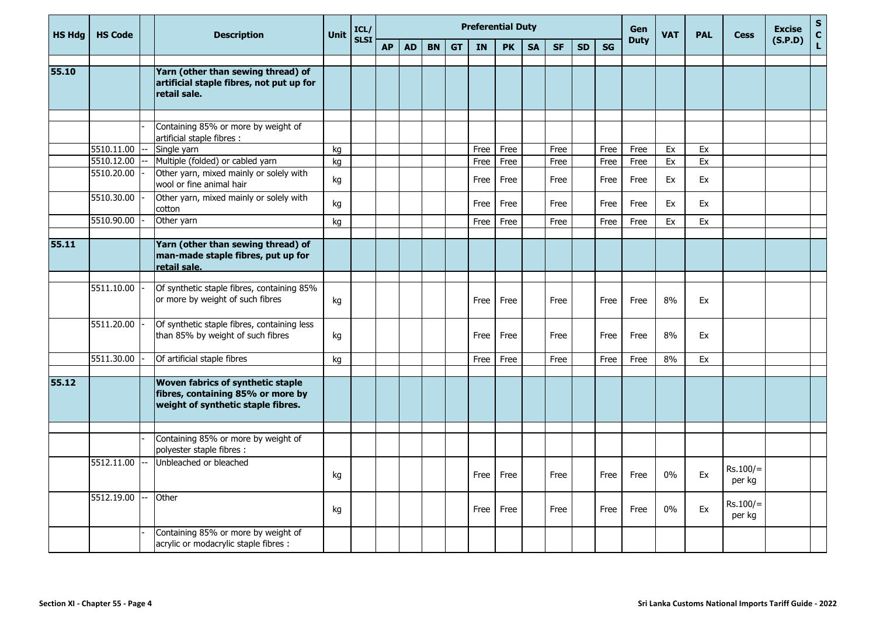| <b>HS Hdg</b> | <b>HS Code</b> | <b>Description</b>                                                                                           | Unit | ICL/        |           |           |           |           | <b>Preferential Duty</b> |           |           |           |           |           | <b>Gen</b>  | <b>VAT</b> | <b>PAL</b> | <b>Cess</b>          | <b>Excise</b> | ${\sf s}$<br>$\mathbf{C}$ |
|---------------|----------------|--------------------------------------------------------------------------------------------------------------|------|-------------|-----------|-----------|-----------|-----------|--------------------------|-----------|-----------|-----------|-----------|-----------|-------------|------------|------------|----------------------|---------------|---------------------------|
|               |                |                                                                                                              |      | <b>SLSI</b> | <b>AP</b> | <b>AD</b> | <b>BN</b> | <b>GT</b> | <b>IN</b>                | <b>PK</b> | <b>SA</b> | <b>SF</b> | <b>SD</b> | <b>SG</b> | <b>Duty</b> |            |            |                      | (S.P.D)       | L.                        |
| 55.10         |                | Yarn (other than sewing thread) of<br>artificial staple fibres, not put up for<br>retail sale.               |      |             |           |           |           |           |                          |           |           |           |           |           |             |            |            |                      |               |                           |
|               |                | Containing 85% or more by weight of<br>artificial staple fibres :                                            |      |             |           |           |           |           |                          |           |           |           |           |           |             |            |            |                      |               |                           |
|               | 5510.11.00     | Single yarn                                                                                                  | kg   |             |           |           |           |           | Free                     | Free      |           | Free      |           | Free      | Free        | Ex         | Ex         |                      |               |                           |
|               | 5510.12.00     | Multiple (folded) or cabled yarn                                                                             | kg   |             |           |           |           |           | Free                     | Free      |           | Free      |           | Free      | Free        | Ex         | Ex         |                      |               |                           |
|               | 5510.20.00     | Other yarn, mixed mainly or solely with<br>wool or fine animal hair                                          | kg   |             |           |           |           |           | Free                     | Free      |           | Free      |           | Free      | Free        | Ex         | Ex         |                      |               |                           |
|               | 5510.30.00     | Other yarn, mixed mainly or solely with<br>cotton                                                            | kg   |             |           |           |           |           | Free                     | Free      |           | Free      |           | Free      | Free        | Ex         | Ex         |                      |               |                           |
|               | 5510.90.00     | Other yarn                                                                                                   | kg   |             |           |           |           |           | Free                     | Free      |           | Free      |           | Free      | Free        | Ex         | Ex         |                      |               |                           |
| 55.11         |                | Yarn (other than sewing thread) of<br>man-made staple fibres, put up for<br>retail sale.                     |      |             |           |           |           |           |                          |           |           |           |           |           |             |            |            |                      |               |                           |
|               | 5511.10.00     | Of synthetic staple fibres, containing 85%<br>or more by weight of such fibres                               | kg   |             |           |           |           |           | Free                     | Free      |           | Free      |           | Free      | Free        | 8%         | Ex         |                      |               |                           |
|               | 5511.20.00     | Of synthetic staple fibres, containing less<br>than 85% by weight of such fibres                             | kg   |             |           |           |           |           | Free                     | Free      |           | Free      |           | Free      | Free        | 8%         | Ex         |                      |               |                           |
|               | 5511.30.00     | Of artificial staple fibres                                                                                  | kg   |             |           |           |           |           | Free                     | Free      |           | Free      |           | Free      | Free        | 8%         | Ex         |                      |               |                           |
| 55.12         |                | Woven fabrics of synthetic staple<br>fibres, containing 85% or more by<br>weight of synthetic staple fibres. |      |             |           |           |           |           |                          |           |           |           |           |           |             |            |            |                      |               |                           |
|               |                | Containing 85% or more by weight of<br>polyester staple fibres :                                             |      |             |           |           |           |           |                          |           |           |           |           |           |             |            |            |                      |               |                           |
|               | 5512.11.00     | Unbleached or bleached                                                                                       | kg   |             |           |           |           |           | Free                     | Free      |           | Free      |           | Free      | Free        | $0\%$      | Ex         | $Rs.100/=$<br>per kg |               |                           |
|               | 5512.19.00     | Other                                                                                                        | kg   |             |           |           |           |           | Free                     | Free      |           | Free      |           | Free      | Free        | 0%         | Ex         | $Rs.100/=$<br>per kg |               |                           |
|               |                | Containing 85% or more by weight of<br>acrylic or modacrylic staple fibres :                                 |      |             |           |           |           |           |                          |           |           |           |           |           |             |            |            |                      |               |                           |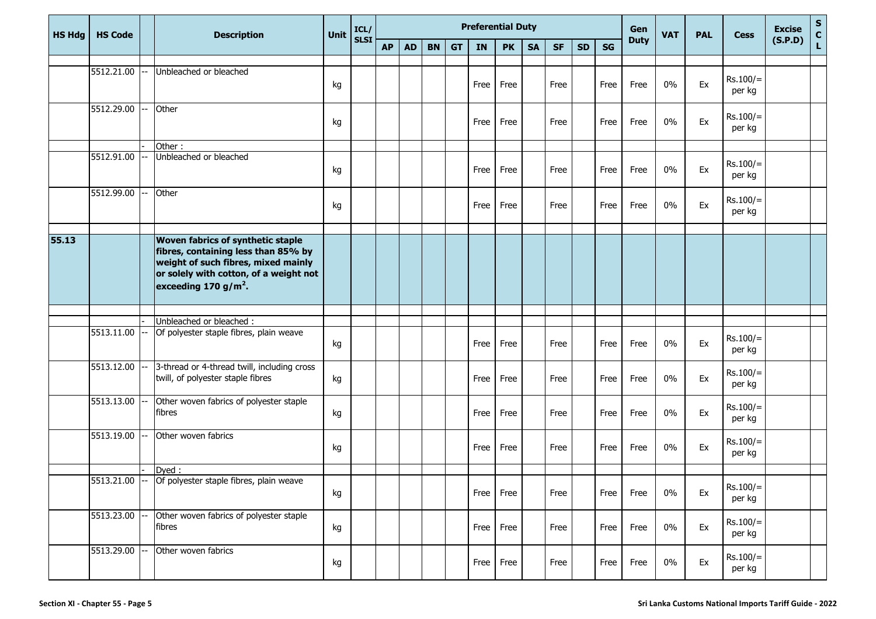| <b>HS Hdg</b> | <b>HS Code</b> |     | <b>Description</b>                                                                                                                                                                                   | Unit | ICL/        |           |           |           |           | <b>Preferential Duty</b> |           |           |           | Gen       | <b>VAT</b> | <b>PAL</b>  | <b>Cess</b> | <b>Excise</b> | $\frac{{\sf s}}{{\sf c}}$ |         |              |
|---------------|----------------|-----|------------------------------------------------------------------------------------------------------------------------------------------------------------------------------------------------------|------|-------------|-----------|-----------|-----------|-----------|--------------------------|-----------|-----------|-----------|-----------|------------|-------------|-------------|---------------|---------------------------|---------|--------------|
|               |                |     |                                                                                                                                                                                                      |      | <b>SLSI</b> | <b>AP</b> | <b>AD</b> | <b>BN</b> | <b>GT</b> | IN                       | <b>PK</b> | <b>SA</b> | <b>SF</b> | <b>SD</b> | <b>SG</b>  | <b>Duty</b> |             |               |                           | (S.P.D) | $\mathbf{L}$ |
|               |                |     |                                                                                                                                                                                                      |      |             |           |           |           |           |                          |           |           |           |           |            |             |             |               |                           |         |              |
|               | 5512.21.00     |     | Unbleached or bleached                                                                                                                                                                               | kg   |             |           |           |           |           | Free                     | Free      |           | Free      |           | Free       | Free        | $0\%$       | Ex            | $Rs.100/=$<br>per kg      |         |              |
|               | 5512.29.00     |     | Other                                                                                                                                                                                                | kg   |             |           |           |           |           | Free                     | Free      |           | Free      |           | Free       | Free        | 0%          | Ex            | $Rs.100/=$<br>per kg      |         |              |
|               |                |     | Other:                                                                                                                                                                                               |      |             |           |           |           |           |                          |           |           |           |           |            |             |             |               |                           |         |              |
|               | 5512.91.00     |     | Unbleached or bleached                                                                                                                                                                               | kg   |             |           |           |           |           | Free                     | Free      |           | Free      |           | Free       | Free        | $0\%$       | Ex            | $Rs.100/=$<br>per kg      |         |              |
|               | 5512.99.00     |     | Other                                                                                                                                                                                                | kg   |             |           |           |           |           | Free                     | Free      |           | Free      |           | Free       | Free        | 0%          | Ex            | $Rs.100/=$<br>per kg      |         |              |
|               |                |     |                                                                                                                                                                                                      |      |             |           |           |           |           |                          |           |           |           |           |            |             |             |               |                           |         |              |
| 55.13         |                |     | <b>Woven fabrics of synthetic staple</b><br>fibres, containing less than 85% by<br>weight of such fibres, mixed mainly<br>or solely with cotton, of a weight not<br>exceeding 170 g/m <sup>2</sup> . |      |             |           |           |           |           |                          |           |           |           |           |            |             |             |               |                           |         |              |
|               |                |     |                                                                                                                                                                                                      |      |             |           |           |           |           |                          |           |           |           |           |            |             |             |               |                           |         |              |
|               |                |     | Unbleached or bleached :                                                                                                                                                                             |      |             |           |           |           |           |                          |           |           |           |           |            |             |             |               |                           |         |              |
|               | 5513.11.00     |     | Of polyester staple fibres, plain weave                                                                                                                                                              | kg   |             |           |           |           |           | Free                     | Free      |           | Free      |           | Free       | Free        | $0\%$       | Ex            | $Rs.100/=$<br>per kg      |         |              |
|               | 5513.12.00     |     | 3-thread or 4-thread twill, including cross<br>twill, of polyester staple fibres                                                                                                                     | kg   |             |           |           |           |           | Free                     | Free      |           | Free      |           | Free       | Free        | 0%          | Ex            | $Rs.100/=$<br>per kg      |         |              |
|               | 5513.13.00     |     | Other woven fabrics of polyester staple<br>fibres                                                                                                                                                    | kg   |             |           |           |           |           | Free                     | Free      |           | Free      |           | Free       | Free        | 0%          | Ex            | $Rs.100/=$<br>per kg      |         |              |
|               | 5513.19.00     |     | Other woven fabrics                                                                                                                                                                                  | kg   |             |           |           |           |           | Free                     | Free      |           | Free      |           | Free       | Free        | 0%          | Ex            | $Rs.100/=$<br>per kg      |         |              |
|               |                |     | Dyed:                                                                                                                                                                                                |      |             |           |           |           |           |                          |           |           |           |           |            |             |             |               |                           |         |              |
|               | 5513.21.00     | $-$ | Of polyester staple fibres, plain weave                                                                                                                                                              | kg   |             |           |           |           |           | Free                     | Free      |           | Free      |           | Free       | Free        | $0\%$       | Ex            | $Rs.100/=$<br>per kg      |         |              |
|               | 5513.23.00     |     | Other woven fabrics of polyester staple<br>fibres                                                                                                                                                    | kg   |             |           |           |           |           | Free                     | Free      |           | Free      |           | Free       | Free        | $0\%$       | Ex            | $Rs.100/=$<br>per kg      |         |              |
|               | 5513.29.00     |     | Other woven fabrics                                                                                                                                                                                  | kg   |             |           |           |           |           |                          | Free Free |           | Free      |           | Free       | Free        | $0\%$       | Ex            | $Rs.100/=$<br>per kg      |         |              |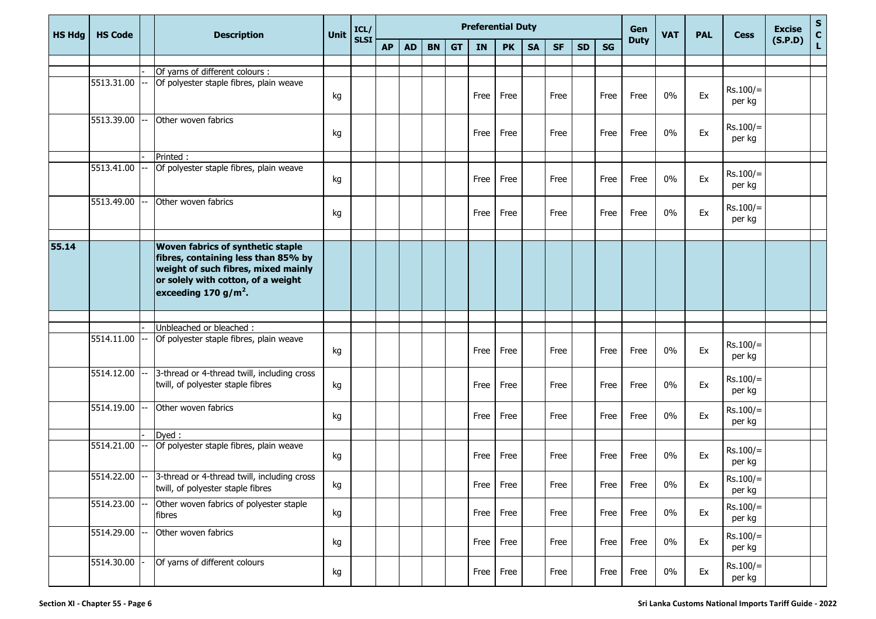| <b>HS Hdg</b> | <b>HS Code</b> | <b>Description</b>                                                                                                                                                                        | <b>Unit</b> | ICL/        |           |           |           |           | <b>Preferential Duty</b> |           |           |           |           | Gen       | <b>VAT</b>  | <b>PAL</b> | <b>Cess</b> | <b>Excise</b>        | $S_{C}$ |              |
|---------------|----------------|-------------------------------------------------------------------------------------------------------------------------------------------------------------------------------------------|-------------|-------------|-----------|-----------|-----------|-----------|--------------------------|-----------|-----------|-----------|-----------|-----------|-------------|------------|-------------|----------------------|---------|--------------|
|               |                |                                                                                                                                                                                           |             | <b>SLSI</b> | <b>AP</b> | <b>AD</b> | <b>BN</b> | <b>GT</b> | IN                       | <b>PK</b> | <b>SA</b> | <b>SF</b> | <b>SD</b> | <b>SG</b> | <b>Duty</b> |            |             |                      | (S.P.D) | $\mathbf{L}$ |
|               |                |                                                                                                                                                                                           |             |             |           |           |           |           |                          |           |           |           |           |           |             |            |             |                      |         |              |
|               |                | Of yarns of different colours :                                                                                                                                                           |             |             |           |           |           |           |                          |           |           |           |           |           |             |            |             |                      |         |              |
|               | 5513.31.00     | Of polyester staple fibres, plain weave                                                                                                                                                   | kg          |             |           |           |           |           | Free                     | Free      |           | Free      |           | Free      | Free        | 0%         | Ex          | $Rs.100/=$<br>per kg |         |              |
|               | 5513.39.00     | Other woven fabrics                                                                                                                                                                       | kg          |             |           |           |           |           | Free                     | Free      |           | Free      |           | Free      | Free        | 0%         | Ex          | $Rs.100/=$<br>per kg |         |              |
|               |                | Printed:                                                                                                                                                                                  |             |             |           |           |           |           |                          |           |           |           |           |           |             |            |             |                      |         |              |
|               | 5513.41.00     | Of polyester staple fibres, plain weave                                                                                                                                                   | kg          |             |           |           |           |           | Free                     | Free      |           | Free      |           | Free      | Free        | 0%         | Ex          | $Rs.100/=$<br>per kg |         |              |
|               | 5513.49.00     | Other woven fabrics                                                                                                                                                                       | kg          |             |           |           |           |           | Free                     | Free      |           | Free      |           | Free      | Free        | 0%         | Ex          | $Rs.100/=$<br>per kg |         |              |
|               |                |                                                                                                                                                                                           |             |             |           |           |           |           |                          |           |           |           |           |           |             |            |             |                      |         |              |
| 55.14         |                | Woven fabrics of synthetic staple<br>fibres, containing less than 85% by<br>weight of such fibres, mixed mainly<br>or solely with cotton, of a weight<br>exceeding 170 g/m <sup>2</sup> . |             |             |           |           |           |           |                          |           |           |           |           |           |             |            |             |                      |         |              |
|               |                |                                                                                                                                                                                           |             |             |           |           |           |           |                          |           |           |           |           |           |             |            |             |                      |         |              |
|               |                | Unbleached or bleached :                                                                                                                                                                  |             |             |           |           |           |           |                          |           |           |           |           |           |             |            |             |                      |         |              |
|               | 5514.11.00     | Of polyester staple fibres, plain weave                                                                                                                                                   | kg          |             |           |           |           |           | Free                     | Free      |           | Free      |           | Free      | Free        | 0%         | Ex          | $Rs.100/=$<br>per kg |         |              |
|               | 5514.12.00     | 3-thread or 4-thread twill, including cross<br>twill, of polyester staple fibres                                                                                                          | kg          |             |           |           |           |           | Free                     | Free      |           | Free      |           | Free      | Free        | 0%         | Ex          | $Rs.100/=$<br>per kg |         |              |
|               | 5514.19.00     | Other woven fabrics                                                                                                                                                                       | kg          |             |           |           |           |           | Free                     | Free      |           | Free      |           | Free      | Free        | 0%         | Ex          | $Rs.100/=$<br>per kg |         |              |
|               |                | Dved:                                                                                                                                                                                     |             |             |           |           |           |           |                          |           |           |           |           |           |             |            |             |                      |         |              |
|               | 5514.21.00     | Of polyester staple fibres, plain weave                                                                                                                                                   | kg          |             |           |           |           |           | Free                     | Free      |           | Free      |           | Free      | Free        | $0\%$      | Ex          | $Rs.100/=$<br>per kg |         |              |
|               |                | $5514.22.00$ -- 3-thread or 4-thread twill, including cross<br>twill, of polyester staple fibres                                                                                          | kg          |             |           |           |           |           |                          | Free Free |           | Free      |           | Free      | Free        | 0%         | Ex          | $Rs.100/=$<br>per kg |         |              |
|               | 5514.23.00     | Other woven fabrics of polyester staple<br>fibres                                                                                                                                         | kg          |             |           |           |           |           | Free                     | Free      |           | Free      |           | Free      | Free        | $0\%$      | Ex          | $Rs.100/=$<br>per kg |         |              |
|               | 5514.29.00     | Other woven fabrics                                                                                                                                                                       | kg          |             |           |           |           |           | Free                     | Free      |           | Free      |           | Free      | Free        | 0%         | Ex          | $Rs.100/=$<br>per kg |         |              |
|               | 5514.30.00     | Of yarns of different colours                                                                                                                                                             | kg          |             |           |           |           |           | Free                     | Free      |           | Free      |           | Free      | Free        | $0\%$      | Ex          | $Rs.100/=$<br>per kg |         |              |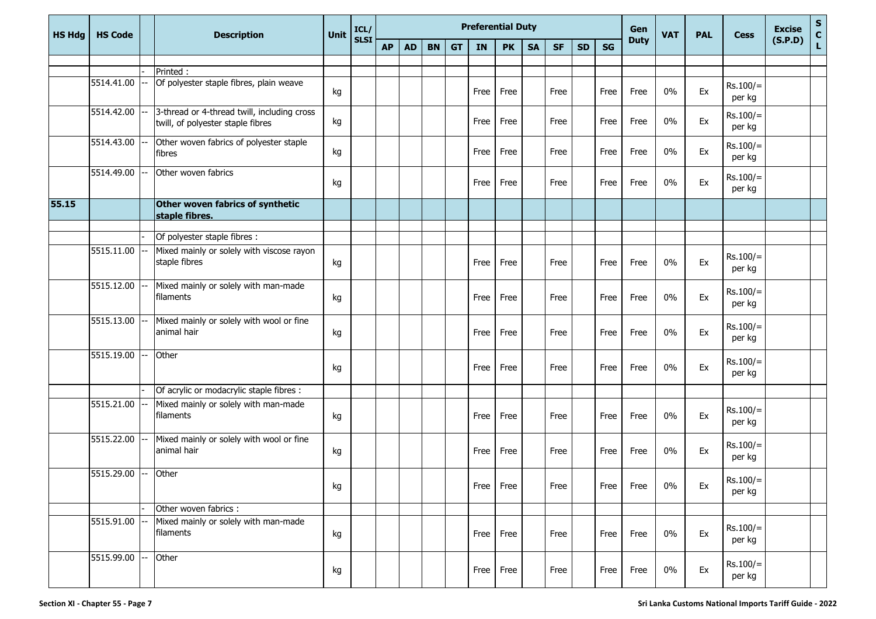| <b>HS Hdg</b> | <b>HS Code</b>  |    | <b>Description</b>                                                               | <b>Unit</b> | ICL/        |           |           |           |           | <b>Preferential Duty</b> |           |           |           | Gen       | <b>VAT</b> | <b>PAL</b>  | <b>Cess</b> | <b>Excise</b> | $S_{C}$              |         |    |
|---------------|-----------------|----|----------------------------------------------------------------------------------|-------------|-------------|-----------|-----------|-----------|-----------|--------------------------|-----------|-----------|-----------|-----------|------------|-------------|-------------|---------------|----------------------|---------|----|
|               |                 |    |                                                                                  |             | <b>SLSI</b> | <b>AP</b> | <b>AD</b> | <b>BN</b> | <b>GT</b> | <b>IN</b>                | <b>PK</b> | <b>SA</b> | <b>SF</b> | <b>SD</b> | <b>SG</b>  | <b>Duty</b> |             |               |                      | (S.P.D) | L. |
|               |                 |    |                                                                                  |             |             |           |           |           |           |                          |           |           |           |           |            |             |             |               |                      |         |    |
|               |                 |    | Printed:                                                                         |             |             |           |           |           |           |                          |           |           |           |           |            |             |             |               |                      |         |    |
|               | 5514.41.00      |    | Of polyester staple fibres, plain weave                                          | kg          |             |           |           |           |           | Free                     | Free      |           | Free      |           | Free       | Free        | 0%          | Ex            | $Rs.100/=$<br>per kg |         |    |
|               | 5514.42.00      |    | 3-thread or 4-thread twill, including cross<br>twill, of polyester staple fibres | kg          |             |           |           |           |           | Free                     | Free      |           | Free      |           | Free       | Free        | $0\%$       | Ex            | $Rs.100/=$<br>per kg |         |    |
|               | 5514.43.00      |    | Other woven fabrics of polyester staple<br>fibres                                | kg          |             |           |           |           |           | Free                     | Free      |           | Free      |           | Free       | Free        | $0\%$       | Ex            | $Rs.100/=$<br>per kg |         |    |
|               | 5514.49.00      |    | Other woven fabrics                                                              | kg          |             |           |           |           |           | Free                     | Free      |           | Free      |           | Free       | Free        | 0%          | Ex            | $Rs.100/=$<br>per kg |         |    |
| 55.15         |                 |    | Other woven fabrics of synthetic<br>staple fibres.                               |             |             |           |           |           |           |                          |           |           |           |           |            |             |             |               |                      |         |    |
|               |                 |    | Of polyester staple fibres :                                                     |             |             |           |           |           |           |                          |           |           |           |           |            |             |             |               |                      |         |    |
|               | 5515.11.00      |    |                                                                                  |             |             |           |           |           |           |                          |           |           |           |           |            |             |             |               |                      |         |    |
|               |                 |    | Mixed mainly or solely with viscose rayon<br>staple fibres                       | kg          |             |           |           |           |           | Free                     | Free      |           | Free      |           | Free       | Free        | 0%          | Ex            | $Rs.100/=$<br>per kg |         |    |
|               | 5515.12.00      |    | Mixed mainly or solely with man-made<br>filaments                                | kg          |             |           |           |           |           | Free                     | Free      |           | Free      |           | Free       | Free        | 0%          | Ex            | $Rs.100/=$<br>per kg |         |    |
|               | $5515.13.00$ -  |    | Mixed mainly or solely with wool or fine<br>animal hair                          | kg          |             |           |           |           |           | Free                     | Free      |           | Free      |           | Free       | Free        | $0\%$       | Ex            | $Rs.100/=$<br>per kg |         |    |
|               | 5515.19.00      |    | Other                                                                            | kg          |             |           |           |           |           | Free                     | Free      |           | Free      |           | Free       | Free        | 0%          | Ex            | $Rs.100/=$<br>per kg |         |    |
|               |                 |    | Of acrylic or modacrylic staple fibres :                                         |             |             |           |           |           |           |                          |           |           |           |           |            |             |             |               |                      |         |    |
|               | 5515.21.00      |    | Mixed mainly or solely with man-made<br>filaments                                | kg          |             |           |           |           |           | Free                     | Free      |           | Free      |           | Free       | Free        | 0%          | Ex            | $Rs.100/=$<br>per kg |         |    |
|               | 5515.22.00      |    | Mixed mainly or solely with wool or fine<br>animal hair                          | kg          |             |           |           |           |           | Free                     | Free      |           | Free      |           | Free       | Free        | 0%          | Ex            | $Rs.100/=$<br>per kg |         |    |
|               | 5515.29.00      | -- | Other                                                                            | kg          |             |           |           |           |           | Free Free                |           |           | Free      |           | Free       | Free        | 0%          | Ex            | $Rs.100/=$<br>per kg |         |    |
|               |                 |    | Other woven fabrics :                                                            |             |             |           |           |           |           |                          |           |           |           |           |            |             |             |               |                      |         |    |
|               | 5515.91.00      |    | Mixed mainly or solely with man-made<br>filaments                                | kg          |             |           |           |           |           | Free                     | Free      |           | Free      |           | Free       | Free        | 0%          | Ex            | $Rs.100/=$<br>per kg |         |    |
|               | $5515.99.00$ -- |    | Other                                                                            | kg          |             |           |           |           |           | Free Free                |           |           | Free      |           | Free       | Free        | $0\%$       | Ex            | $Rs.100/=$<br>per kg |         |    |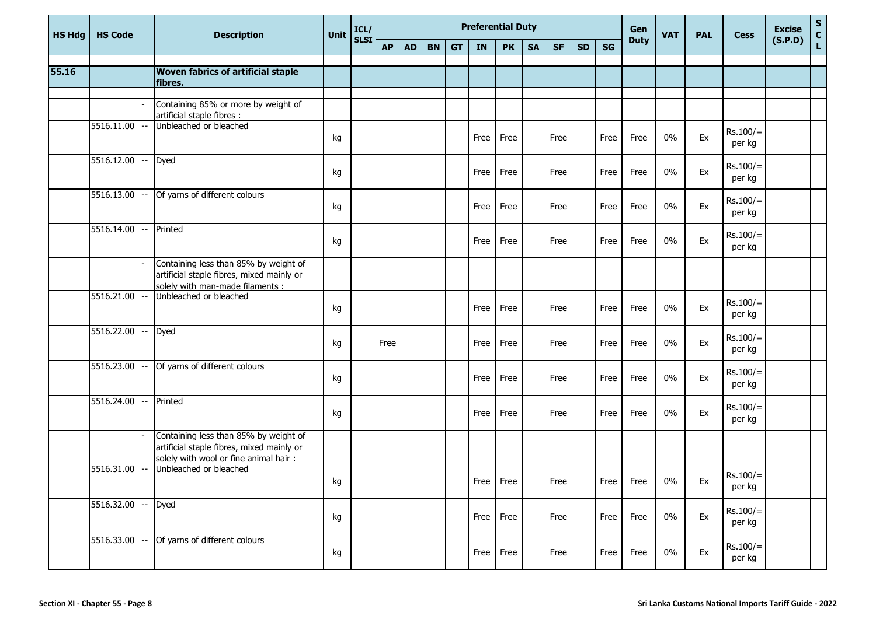| <b>HS Hdg</b> | <b>HS Code</b> |       | <b>Description</b>                                                                                                           | Unit | ICL/        |           |           |           |           | <b>Preferential Duty</b> |           |           |           |           |           | Gen         | <b>VAT</b> | <b>PAL</b> | <b>Cess</b>          | <b>Excise</b> | S<br>C<br>L |
|---------------|----------------|-------|------------------------------------------------------------------------------------------------------------------------------|------|-------------|-----------|-----------|-----------|-----------|--------------------------|-----------|-----------|-----------|-----------|-----------|-------------|------------|------------|----------------------|---------------|-------------|
|               |                |       |                                                                                                                              |      | <b>SLSI</b> | <b>AP</b> | <b>AD</b> | <b>BN</b> | <b>GT</b> | IN                       | <b>PK</b> | <b>SA</b> | <b>SF</b> | <b>SD</b> | <b>SG</b> | <b>Duty</b> |            |            |                      | (S.P.D)       |             |
| 55.16         |                |       | Woven fabrics of artificial staple                                                                                           |      |             |           |           |           |           |                          |           |           |           |           |           |             |            |            |                      |               |             |
|               |                |       | fibres.                                                                                                                      |      |             |           |           |           |           |                          |           |           |           |           |           |             |            |            |                      |               |             |
|               |                |       | Containing 85% or more by weight of<br>artificial staple fibres :                                                            |      |             |           |           |           |           |                          |           |           |           |           |           |             |            |            |                      |               |             |
|               | 5516.11.00     | $---$ | Unbleached or bleached                                                                                                       | kg   |             |           |           |           |           | Free                     | Free      |           | Free      |           | Free      | Free        | $0\%$      | Ex         | $Rs.100/=$<br>per kg |               |             |
|               | 5516.12.00     |       | Dyed                                                                                                                         | kg   |             |           |           |           |           | Free                     | Free      |           | Free      |           | Free      | Free        | 0%         | Ex         | $Rs.100/=$<br>per kg |               |             |
|               | 5516.13.00     | $---$ | Of yarns of different colours                                                                                                | kg   |             |           |           |           |           | Free                     | Free      |           | Free      |           | Free      | Free        | $0\%$      | Ex         | $Rs.100/=$<br>per kg |               |             |
|               | 5516.14.00     |       | Printed                                                                                                                      | kg   |             |           |           |           |           | Free                     | Free      |           | Free      |           | Free      | Free        | $0\%$      | Ex         | $Rs.100/=$<br>per kg |               |             |
|               |                |       | Containing less than 85% by weight of<br>artificial staple fibres, mixed mainly or<br>solely with man-made filaments :       |      |             |           |           |           |           |                          |           |           |           |           |           |             |            |            |                      |               |             |
|               | 5516.21.00     |       | Unbleached or bleached                                                                                                       | kg   |             |           |           |           |           | Free                     | Free      |           | Free      |           | Free      | Free        | $0\%$      | Ex         | $Rs.100/=$<br>per kg |               |             |
|               | 5516.22.00     | $---$ | Dyed                                                                                                                         | kg   |             | Free      |           |           |           | Free                     | Free      |           | Free      |           | Free      | Free        | $0\%$      | Ex         | $Rs.100/=$<br>per kg |               |             |
|               | 5516.23.00     |       | Of yarns of different colours                                                                                                | kg   |             |           |           |           |           | Free                     | Free      |           | Free      |           | Free      | Free        | $0\%$      | Ex         | $Rs.100/=$<br>per kg |               |             |
|               | 5516.24.00     | $---$ | Printed                                                                                                                      | kg   |             |           |           |           |           | Free                     | Free      |           | Free      |           | Free      | Free        | $0\%$      | Ex         | $Rs.100/=$<br>per kg |               |             |
|               |                |       | Containing less than 85% by weight of<br>artificial staple fibres, mixed mainly or<br>solely with wool or fine animal hair : |      |             |           |           |           |           |                          |           |           |           |           |           |             |            |            |                      |               |             |
|               | 5516.31.00     | l--   | Unbleached or bleached                                                                                                       | kg   |             |           |           |           |           |                          | Free Free |           | Free      |           | Free      | Free        | $0\%$      | Ex         | $Rs.100/=$<br>per kg |               |             |
|               | 5516.32.00     | $--$  | Dyed                                                                                                                         | kg   |             |           |           |           |           |                          | Free Free |           | Free      |           | Free      | Free        | $0\%$      | Ex         | $Rs.100/=$<br>per kg |               |             |
|               | 5516.33.00     |       | Of yarns of different colours                                                                                                | kg   |             |           |           |           |           |                          | Free Free |           | Free      |           | Free      | Free        | $0\%$      | Ex         | $Rs.100/=$<br>per kg |               |             |